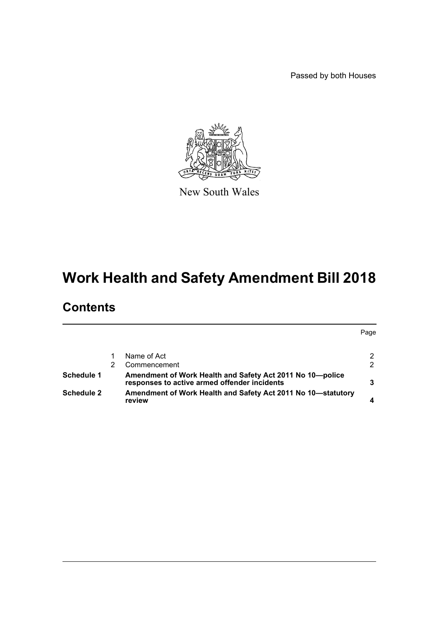Passed by both Houses



New South Wales

# **Work Health and Safety Amendment Bill 2018**

## **Contents**

|                   |                                                                                                           | Page |
|-------------------|-----------------------------------------------------------------------------------------------------------|------|
|                   |                                                                                                           |      |
|                   | Name of Act                                                                                               | 2    |
|                   | Commencement                                                                                              | 2    |
| Schedule 1        | Amendment of Work Health and Safety Act 2011 No 10-police<br>responses to active armed offender incidents | 3    |
| <b>Schedule 2</b> | Amendment of Work Health and Safety Act 2011 No 10-statutory<br>review                                    |      |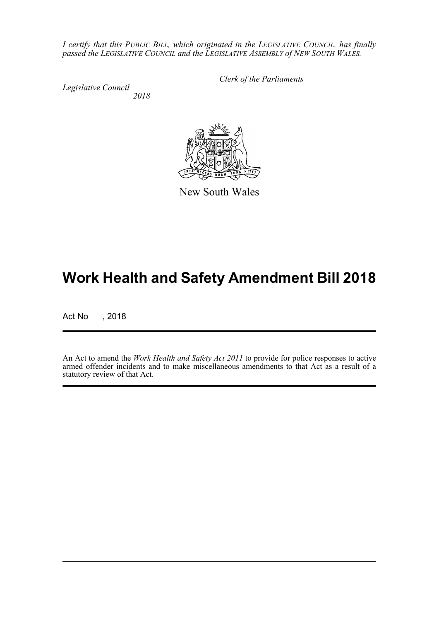*I certify that this PUBLIC BILL, which originated in the LEGISLATIVE COUNCIL, has finally passed the LEGISLATIVE COUNCIL and the LEGISLATIVE ASSEMBLY of NEW SOUTH WALES.*

*Legislative Council*

*Clerk of the Parliaments*

*2018*



New South Wales

## **Work Health and Safety Amendment Bill 2018**

Act No , 2018

An Act to amend the *Work Health and Safety Act 2011* to provide for police responses to active armed offender incidents and to make miscellaneous amendments to that Act as a result of a statutory review of that Act.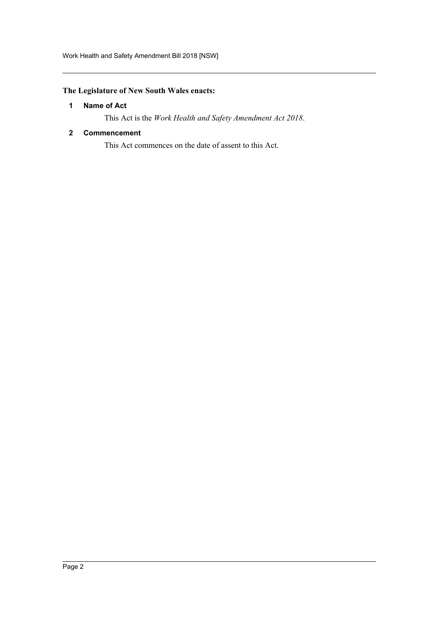### <span id="page-2-0"></span>**The Legislature of New South Wales enacts:**

#### **1 Name of Act**

This Act is the *Work Health and Safety Amendment Act 2018*.

#### <span id="page-2-1"></span>**2 Commencement**

This Act commences on the date of assent to this Act.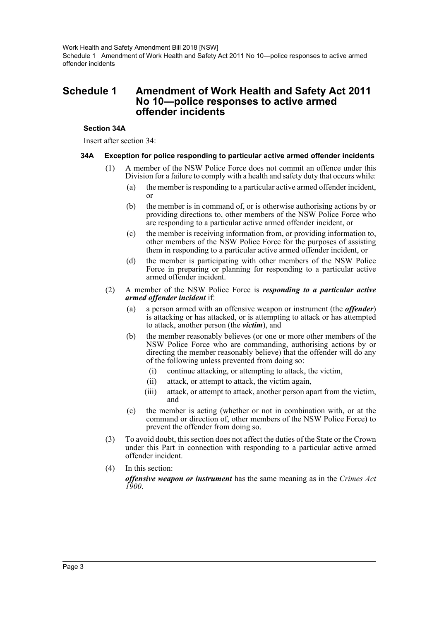### <span id="page-3-0"></span>**Schedule 1 Amendment of Work Health and Safety Act 2011 No 10—police responses to active armed offender incidents**

#### **Section 34A**

Insert after section 34:

#### **34A Exception for police responding to particular active armed offender incidents**

- (1) A member of the NSW Police Force does not commit an offence under this Division for a failure to comply with a health and safety duty that occurs while:
	- (a) the member is responding to a particular active armed offender incident, or
	- (b) the member is in command of, or is otherwise authorising actions by or providing directions to, other members of the NSW Police Force who are responding to a particular active armed offender incident, or
	- (c) the member is receiving information from, or providing information to, other members of the NSW Police Force for the purposes of assisting them in responding to a particular active armed offender incident, or
	- (d) the member is participating with other members of the NSW Police Force in preparing or planning for responding to a particular active armed offender incident.
- (2) A member of the NSW Police Force is *responding to a particular active armed offender incident* if:
	- (a) a person armed with an offensive weapon or instrument (the *offender*) is attacking or has attacked, or is attempting to attack or has attempted to attack, another person (the *victim*), and
	- (b) the member reasonably believes (or one or more other members of the NSW Police Force who are commanding, authorising actions by or directing the member reasonably believe) that the offender will do any of the following unless prevented from doing so:
		- (i) continue attacking, or attempting to attack, the victim,
		- (ii) attack, or attempt to attack, the victim again,
		- (iii) attack, or attempt to attack, another person apart from the victim, and
	- (c) the member is acting (whether or not in combination with, or at the command or direction of, other members of the NSW Police Force) to prevent the offender from doing so.
- (3) To avoid doubt, this section does not affect the duties of the State or the Crown under this Part in connection with responding to a particular active armed offender incident.
- (4) In this section: *offensive weapon or instrument* has the same meaning as in the *Crimes Act 1900*.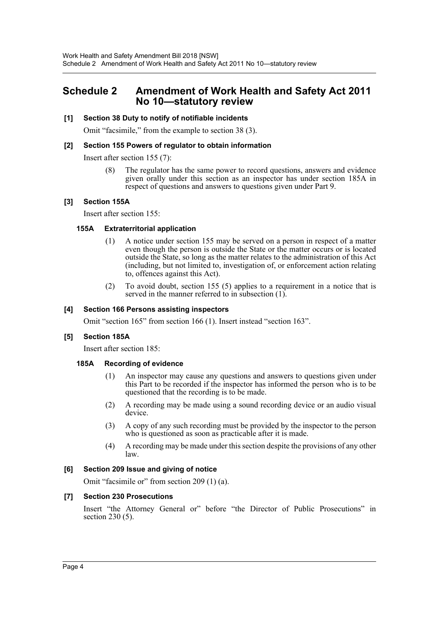## <span id="page-4-0"></span>**Schedule 2 Amendment of Work Health and Safety Act 2011 No 10—statutory review**

#### **[1] Section 38 Duty to notify of notifiable incidents**

Omit "facsimile," from the example to section 38 (3).

#### **[2] Section 155 Powers of regulator to obtain information**

Insert after section 155 (7):

(8) The regulator has the same power to record questions, answers and evidence given orally under this section as an inspector has under section 185A in respect of questions and answers to questions given under Part 9.

#### **[3] Section 155A**

Insert after section 155:

#### **155A Extraterritorial application**

- (1) A notice under section 155 may be served on a person in respect of a matter even though the person is outside the State or the matter occurs or is located outside the State, so long as the matter relates to the administration of this Act (including, but not limited to, investigation of, or enforcement action relating to, offences against this Act).
- (2) To avoid doubt, section 155 (5) applies to a requirement in a notice that is served in the manner referred to in subsection (1).

#### **[4] Section 166 Persons assisting inspectors**

Omit "section 165" from section 166 (1). Insert instead "section 163".

#### **[5] Section 185A**

Insert after section 185:

#### **185A Recording of evidence**

- (1) An inspector may cause any questions and answers to questions given under this Part to be recorded if the inspector has informed the person who is to be questioned that the recording is to be made.
- (2) A recording may be made using a sound recording device or an audio visual device.
- (3) A copy of any such recording must be provided by the inspector to the person who is questioned as soon as practicable after it is made.
- (4) A recording may be made under this section despite the provisions of any other law.

#### **[6] Section 209 Issue and giving of notice**

Omit "facsimile or" from section 209 (1) (a).

#### **[7] Section 230 Prosecutions**

Insert "the Attorney General or" before "the Director of Public Prosecutions" in section 230 (5).